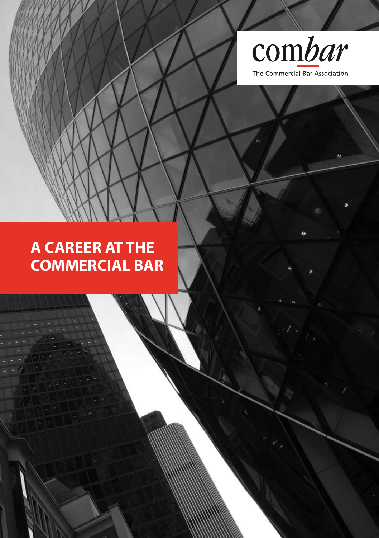

**A career at the Commercial Bar**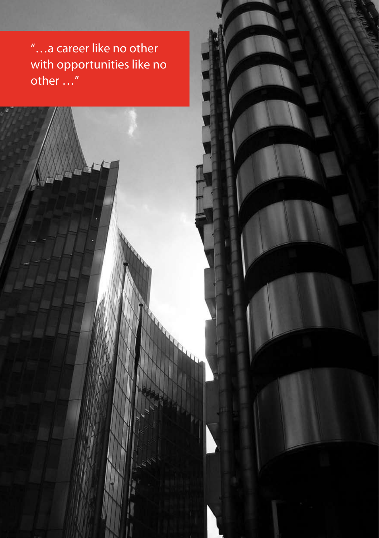"...a career like no other with opportunities like no other …"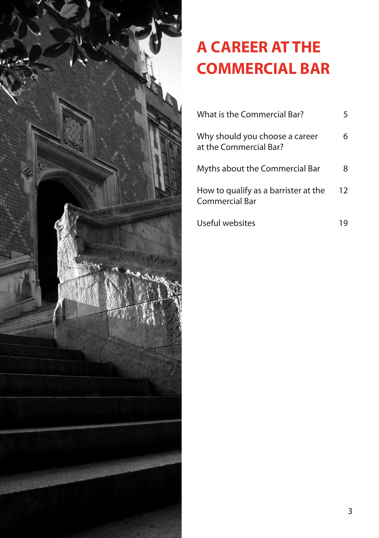

# **A career at the Commercial Bar**

| What is the Commercial Bar?                              |    |
|----------------------------------------------------------|----|
| Why should you choose a career<br>at the Commercial Bar? | 6  |
| Myths about the Commercial Bar                           | 8  |
| How to qualify as a barrister at the<br>Commercial Bar   | 12 |
| Useful websites                                          |    |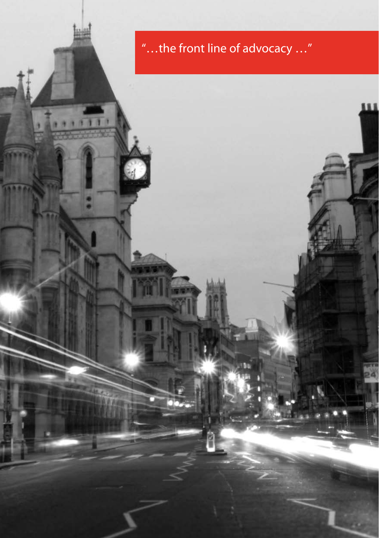# "…the front line of advocacy …"

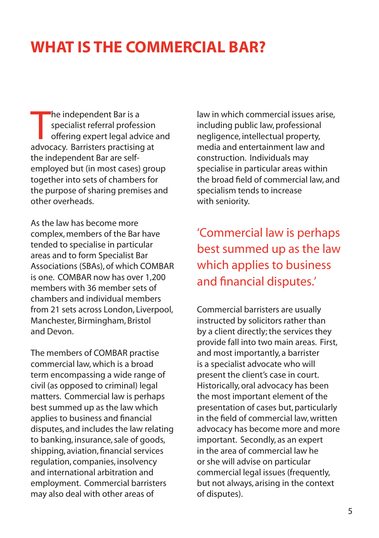## **What is the Commercial Bar?**

The independent Bar is a<br>specialist referral profession<br>offering expert legal advice<br>advocacy. Barristers practising at he independent Bar is a specialist referral profession offering expert legal advice and the independent Bar are selfemployed but (in most cases) group together into sets of chambers for the purpose of sharing premises and other overheads.

As the law has become more complex, members of the Bar have tended to specialise in particular areas and to form Specialist Bar Associations (SBAs), of which COMBAR is one. COMBAR now has over 1,200 members with 36 member sets of chambers and individual members from 21 sets across London, Liverpool, Manchester, Birmingham, Bristol and Devon.

The members of COMBAR practise commercial law, which is a broad term encompassing a wide range of civil (as opposed to criminal) legal matters. Commercial law is perhaps best summed up as the law which applies to business and financial disputes, and includes the law relating to banking, insurance, sale of goods, shipping, aviation, financial services regulation, companies, insolvency and international arbitration and employment. Commercial barristers may also deal with other areas of

law in which commercial issues arise, including public law, professional negligence, intellectual property, media and entertainment law and construction. Individuals may specialise in particular areas within the broad field of commercial law, and specialism tends to increase with seniority.

'Commercial law is perhaps best summed up as the law which applies to business and financial disputes.'

Commercial barristers are usually instructed by solicitors rather than by a client directly; the services they provide fall into two main areas. First, and most importantly, a barrister is a specialist advocate who will present the client's case in court. Historically, oral advocacy has been the most important element of the presentation of cases but, particularly in the field of commercial law, written advocacy has become more and more important. Secondly, as an expert in the area of commercial law he or she will advise on particular commercial legal issues (frequently, but not always, arising in the context of disputes).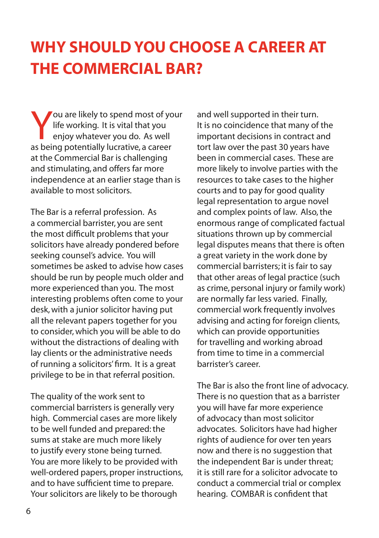# **Why should you choose a career at the Commercial Bar?**

You are likely to spend most of your life working. It is vital that you enjoy whatever you do. As well as being potentially lucrative, a career at the Commercial Bar is challenging and stimulating, and offers far more independence at an earlier stage than is available to most solicitors.

The Bar is a referral profession. As a commercial barrister, you are sent the most difficult problems that your solicitors have already pondered before seeking counsel's advice. You will sometimes be asked to advise how cases should be run by people much older and more experienced than you. The most interesting problems often come to your desk, with a junior solicitor having put all the relevant papers together for you to consider, which you will be able to do without the distractions of dealing with lay clients or the administrative needs of running a solicitors' firm. It is a great privilege to be in that referral position.

The quality of the work sent to commercial barristers is generally very high. Commercial cases are more likely to be well funded and prepared: the sums at stake are much more likely to justify every stone being turned. You are more likely to be provided with well-ordered papers, proper instructions, and to have sufficient time to prepare. Your solicitors are likely to be thorough

and well supported in their turn. It is no coincidence that many of the important decisions in contract and tort law over the past 30 years have been in commercial cases. These are more likely to involve parties with the resources to take cases to the higher courts and to pay for good quality legal representation to argue novel and complex points of law. Also, the enormous range of complicated factual situations thrown up by commercial legal disputes means that there is often a great variety in the work done by commercial barristers; it is fair to say that other areas of legal practice (such as crime, personal injury or family work) are normally far less varied. Finally, commercial work frequently involves advising and acting for foreign clients, which can provide opportunities for travelling and working abroad from time to time in a commercial barrister's career.

The Bar is also the front line of advocacy. There is no question that as a barrister you will have far more experience of advocacy than most solicitor advocates. Solicitors have had higher rights of audience for over ten years now and there is no suggestion that the independent Bar is under threat; it is still rare for a solicitor advocate to conduct a commercial trial or complex hearing. COMBAR is confident that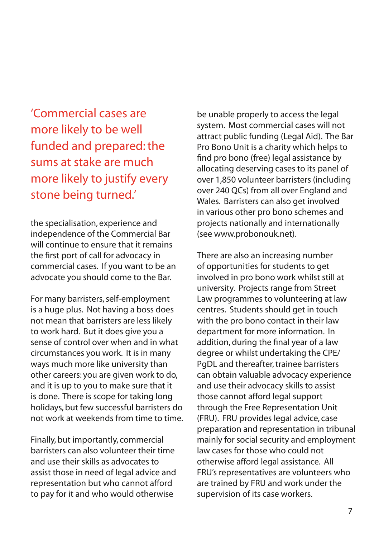'Commercial cases are more likely to be well funded and prepared: the sums at stake are much more likely to justify every stone being turned.'

the specialisation, experience and independence of the Commercial Bar will continue to ensure that it remains the first port of call for advocacy in commercial cases. If you want to be an advocate you should come to the Bar.

For many barristers, self-employment is a huge plus. Not having a boss does not mean that barristers are less likely to work hard. But it does give you a sense of control over when and in what circumstances you work. It is in many ways much more like university than other careers: you are given work to do, and it is up to you to make sure that it is done. There is scope for taking long holidays, but few successful barristers do not work at weekends from time to time.

Finally, but importantly, commercial barristers can also volunteer their time and use their skills as advocates to assist those in need of legal advice and representation but who cannot afford to pay for it and who would otherwise

be unable properly to access the legal system. Most commercial cases will not attract public funding (Legal Aid). The Bar Pro Bono Unit is a charity which helps to find pro bono (free) legal assistance by allocating deserving cases to its panel of over 1,850 volunteer barristers (including over 240 QCs) from all over England and Wales. Barristers can also get involved in various other pro bono schemes and projects nationally and internationally (see www.probonouk.net).

There are also an increasing number of opportunities for students to get involved in pro bono work whilst still at university. Projects range from Street Law programmes to volunteering at law centres. Students should get in touch with the pro bono contact in their law department for more information. In addition, during the final year of a law degree or whilst undertaking the CPE/ PgDL and thereafter, trainee barristers can obtain valuable advocacy experience and use their advocacy skills to assist those cannot afford legal support through the Free Representation Unit (FRU). FRU provides legal advice, case preparation and representation in tribunal mainly for social security and employment law cases for those who could not otherwise afford legal assistance. All FRU's representatives are volunteers who are trained by FRU and work under the supervision of its case workers.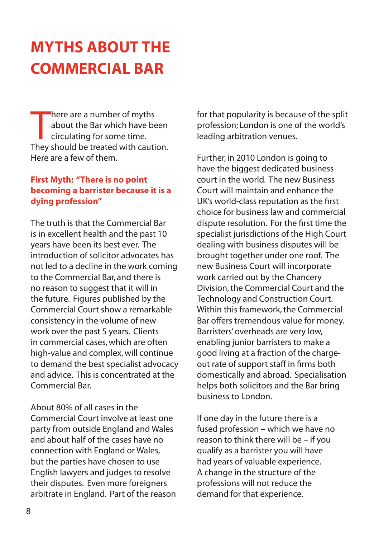# **myths about the Commercial Bar**

There are a number of myths<br>about the Bar which have been<br>circulating for some time.<br>They should be treated with caution. here are a number of myths about the Bar which have been circulating for some time. Here are a few of them.

### **First Myth: "There is no point becoming a barrister because it is a dying profession"**

The truth is that the Commercial Bar is in excellent health and the past 10 years have been its best ever. The introduction of solicitor advocates has not led to a decline in the work coming to the Commercial Bar, and there is no reason to suggest that it will in the future. Figures published by the Commercial Court show a remarkable consistency in the volume of new work over the past 5 years. Clients in commercial cases, which are often high-value and complex, will continue to demand the best specialist advocacy and advice. This is concentrated at the Commercial Bar.

About 80% of all cases in the Commercial Court involve at least one party from outside England and Wales and about half of the cases have no connection with England or Wales, but the parties have chosen to use English lawyers and judges to resolve their disputes. Even more foreigners arbitrate in England. Part of the reason for that popularity is because of the split profession; London is one of the world's leading arbitration venues.

Further, in 2010 London is going to have the biggest dedicated business court in the world. The new Business Court will maintain and enhance the UK's world-class reputation as the first choice for business law and commercial dispute resolution. For the first time the specialist jurisdictions of the High Court dealing with business disputes will be brought together under one roof. The new Business Court will incorporate work carried out by the Chancery Division, the Commercial Court and the Technology and Construction Court. Within this framework, the Commercial Bar offers tremendous value for money. Barristers' overheads are very low, enabling junior barristers to make a good living at a fraction of the chargeout rate of support staff in firms both domestically and abroad. Specialisation helps both solicitors and the Bar bring business to London.

If one day in the future there is a fused profession – which we have no reason to think there will be – if you qualify as a barrister you will have had years of valuable experience. A change in the structure of the professions will not reduce the demand for that experience.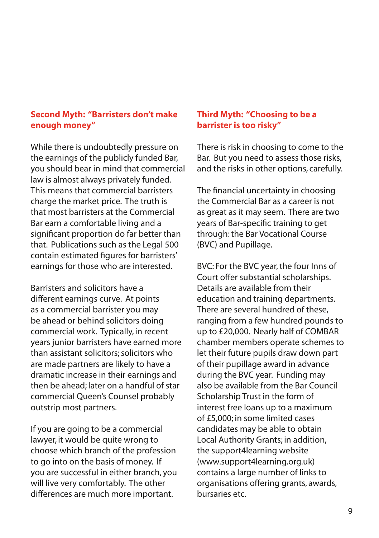### **Second Myth: "Barristers don't make enough money"**

While there is undoubtedly pressure on the earnings of the publicly funded Bar, you should bear in mind that commercial law is almost always privately funded. This means that commercial barristers charge the market price. The truth is that most barristers at the Commercial Bar earn a comfortable living and a significant proportion do far better than that. Publications such as the Legal 500 contain estimated figures for barristers' earnings for those who are interested.

Barristers and solicitors have a different earnings curve. At points as a commercial barrister you may be ahead or behind solicitors doing commercial work. Typically, in recent years junior barristers have earned more than assistant solicitors; solicitors who are made partners are likely to have a dramatic increase in their earnings and then be ahead; later on a handful of star commercial Queen's Counsel probably outstrip most partners.

If you are going to be a commercial lawyer, it would be quite wrong to choose which branch of the profession to go into on the basis of money. If you are successful in either branch, you will live very comfortably. The other differences are much more important.

### **Third Myth: "Choosing to be a barrister is too risky"**

There is risk in choosing to come to the Bar. But you need to assess those risks, and the risks in other options, carefully.

The financial uncertainty in choosing the Commercial Bar as a career is not as great as it may seem. There are two years of Bar-specific training to get through: the Bar Vocational Course (BVC) and Pupillage.

BVC: For the BVC year, the four Inns of Court offer substantial scholarships. Details are available from their education and training departments. There are several hundred of these, ranging from a few hundred pounds to up to £20,000. Nearly half of COMBAR chamber members operate schemes to let their future pupils draw down part of their pupillage award in advance during the BVC year. Funding may also be available from the Bar Council Scholarship Trust in the form of interest free loans up to a maximum of £5,000; in some limited cases candidates may be able to obtain Local Authority Grants; in addition, the support4learning website (www.support4learning.org.uk) contains a large number of links to organisations offering grants, awards, bursaries etc.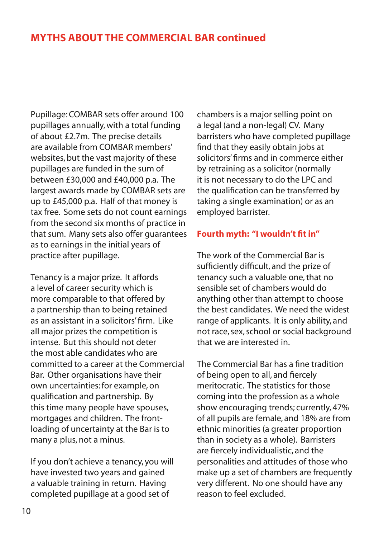### **myths about the Commercial Bar continued**

Pupillage: COMBAR sets offer around 100 pupillages annually, with a total funding of about £2.7m. The precise details are available from COMBAR members' websites, but the vast majority of these pupillages are funded in the sum of between £30,000 and £40,000 p.a. The largest awards made by COMBAR sets are up to £45,000 p.a. Half of that money is tax free. Some sets do not count earnings from the second six months of practice in that sum. Many sets also offer guarantees as to earnings in the initial years of practice after pupillage.

Tenancy is a major prize. It affords a level of career security which is more comparable to that offered by a partnership than to being retained as an assistant in a solicitors' firm. Like all major prizes the competition is intense. But this should not deter the most able candidates who are committed to a career at the Commercial Bar. Other organisations have their own uncertainties: for example, on qualification and partnership. By this time many people have spouses, mortgages and children. The frontloading of uncertainty at the Bar is to many a plus, not a minus.

If you don't achieve a tenancy, you will have invested two years and gained a valuable training in return. Having completed pupillage at a good set of

chambers is a major selling point on a legal (and a non-legal) CV. Many barristers who have completed pupillage find that they easily obtain jobs at solicitors' firms and in commerce either by retraining as a solicitor (normally it is not necessary to do the LPC and the qualification can be transferred by taking a single examination) or as an employed barrister.

#### **Fourth myth: "I wouldn't fit in"**

The work of the Commercial Bar is sufficiently difficult, and the prize of tenancy such a valuable one, that no sensible set of chambers would do anything other than attempt to choose the best candidates. We need the widest range of applicants. It is only ability, and not race, sex, school or social background that we are interested in.

The Commercial Bar has a fine tradition of being open to all, and fiercely meritocratic. The statistics for those coming into the profession as a whole show encouraging trends; currently, 47% of all pupils are female, and 18% are from ethnic minorities (a greater proportion than in society as a whole). Barristers are fiercely individualistic, and the personalities and attitudes of those who make up a set of chambers are frequently very different. No one should have any reason to feel excluded.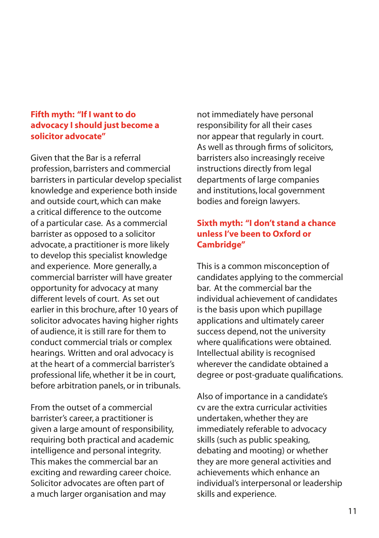#### **Fifth myth: "If I want to do advocacy I should just become a solicitor advocate"**

Given that the Bar is a referral profession, barristers and commercial barristers in particular develop specialist knowledge and experience both inside and outside court, which can make a critical difference to the outcome of a particular case. As a commercial barrister as opposed to a solicitor advocate, a practitioner is more likely to develop this specialist knowledge and experience. More generally, a commercial barrister will have greater opportunity for advocacy at many different levels of court. As set out earlier in this brochure, after 10 years of solicitor advocates having higher rights of audience, it is still rare for them to conduct commercial trials or complex hearings. Written and oral advocacy is at the heart of a commercial barrister's professional life, whether it be in court, before arbitration panels, or in tribunals.

From the outset of a commercial barrister's career, a practitioner is given a large amount of responsibility, requiring both practical and academic intelligence and personal integrity. This makes the commercial bar an exciting and rewarding career choice. Solicitor advocates are often part of a much larger organisation and may

not immediately have personal responsibility for all their cases nor appear that regularly in court. As well as through firms of solicitors, barristers also increasingly receive instructions directly from legal departments of large companies and institutions, local government bodies and foreign lawyers.

### **Sixth myth: "I don't stand a chance unless I've been to Oxford or Cambridge"**

This is a common misconception of candidates applying to the commercial bar. At the commercial bar the individual achievement of candidates is the basis upon which pupillage applications and ultimately career success depend, not the university where qualifications were obtained. Intellectual ability is recognised wherever the candidate obtained a degree or post-graduate qualifications.

Also of importance in a candidate's cv are the extra curricular activities undertaken, whether they are immediately referable to advocacy skills (such as public speaking, debating and mooting) or whether they are more general activities and achievements which enhance an individual's interpersonal or leadership skills and experience.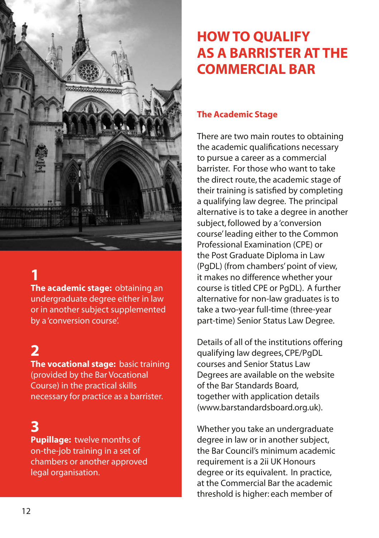

## **1**

**The academic stage:** obtaining an undergraduate degree either in law or in another subject supplemented by a 'conversion course'.

## **2**

**The vocational stage:** basic training (provided by the Bar Vocational Course) in the practical skills necessary for practice as a barrister.

### **3**

**Pupillage:** twelve months of on-the-job training in a set of chambers or another approved legal organisation.

## **How to qualify as a barrister at the Commercial Bar**

#### **The Academic Stage**

There are two main routes to obtaining the academic qualifications necessary to pursue a career as a commercial barrister. For those who want to take the direct route, the academic stage of their training is satisfied by completing a qualifying law degree. The principal alternative is to take a degree in another subject, followed by a 'conversion course' leading either to the Common Professional Examination (CPE) or the Post Graduate Diploma in Law (PgDL) (from chambers' point of view, it makes no difference whether your course is titled CPE or PgDL). A further alternative for non-law graduates is to take a two-year full-time (three-year part-time) Senior Status Law Degree.

Details of all of the institutions offering qualifying law degrees, CPE/PgDL courses and Senior Status Law Degrees are available on the website of the Bar Standards Board, together with application details (www.barstandardsboard.org.uk).

Whether you take an undergraduate degree in law or in another subject, the Bar Council's minimum academic requirement is a 2ii UK Honours degree or its equivalent. In practice, at the Commercial Bar the academic threshold is higher: each member of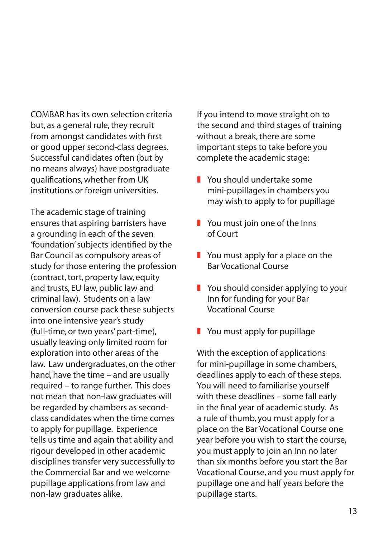COMBAR has its own selection criteria but, as a general rule, they recruit from amongst candidates with first or good upper second-class degrees. Successful candidates often (but by no means always) have postgraduate qualifications, whether from UK institutions or foreign universities.

The academic stage of training ensures that aspiring barristers have a grounding in each of the seven 'foundation' subjects identified by the Bar Council as compulsory areas of study for those entering the profession (contract, tort, property law, equity and trusts, EU law, public law and criminal law). Students on a law conversion course pack these subjects into one intensive year's study (full-time, or two years' part-time), usually leaving only limited room for exploration into other areas of the law. Law undergraduates, on the other hand, have the time – and are usually required – to range further. This does not mean that non-law graduates will be regarded by chambers as secondclass candidates when the time comes to apply for pupillage. Experience tells us time and again that ability and rigour developed in other academic disciplines transfer very successfully to the Commercial Bar and we welcome pupillage applications from law and non-law graduates alike.

If you intend to move straight on to the second and third stages of training without a break, there are some important steps to take before you complete the academic stage:

- **z** You should undertake some mini-pupillages in chambers you may wish to apply to for pupillage
- $\blacksquare$  You must join one of the Inns of Court
- $\blacksquare$  You must apply for a place on the Bar Vocational Course
- $\blacksquare$  You should consider applying to your Inn for funding for your Bar Vocational Course
- $\blacksquare$  You must apply for pupillage

With the exception of applications for mini-pupillage in some chambers, deadlines apply to each of these steps. You will need to familiarise yourself with these deadlines – some fall early in the final year of academic study. As a rule of thumb, you must apply for a place on the Bar Vocational Course one year before you wish to start the course, you must apply to join an Inn no later than six months before you start the Bar Vocational Course, and you must apply for pupillage one and half years before the pupillage starts.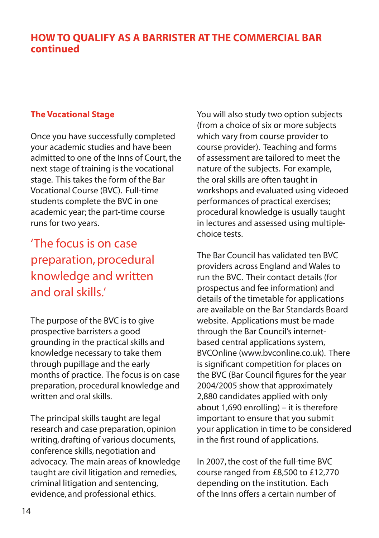### **How to qualify as a barrister at the Commercial Bar continued**

### **The Vocational Stage**

Once you have successfully completed your academic studies and have been admitted to one of the Inns of Court, the next stage of training is the vocational stage. This takes the form of the Bar Vocational Course (BVC). Full-time students complete the BVC in one academic year; the part-time course runs for two years.

'The focus is on case preparation, procedural knowledge and written and oral skills.'

The purpose of the BVC is to give prospective barristers a good grounding in the practical skills and knowledge necessary to take them through pupillage and the early months of practice. The focus is on case preparation, procedural knowledge and written and oral skills.

The principal skills taught are legal research and case preparation, opinion writing, drafting of various documents, conference skills, negotiation and advocacy. The main areas of knowledge taught are civil litigation and remedies, criminal litigation and sentencing, evidence, and professional ethics.

You will also study two option subjects (from a choice of six or more subjects which vary from course provider to course provider). Teaching and forms of assessment are tailored to meet the nature of the subjects. For example, the oral skills are often taught in workshops and evaluated using videoed performances of practical exercises; procedural knowledge is usually taught in lectures and assessed using multiplechoice tests.

The Bar Council has validated ten BVC providers across England and Wales to run the BVC. Their contact details (for prospectus and fee information) and details of the timetable for applications are available on the Bar Standards Board website. Applications must be made through the Bar Council's internetbased central applications system, BVCOnline (www.bvconline.co.uk). There is significant competition for places on the BVC (Bar Council figures for the year 2004/2005 show that approximately 2,880 candidates applied with only about 1,690 enrolling) – it is therefore important to ensure that you submit your application in time to be considered in the first round of applications.

In 2007, the cost of the full-time BVC course ranged from £8,500 to £12,770 depending on the institution. Each of the Inns offers a certain number of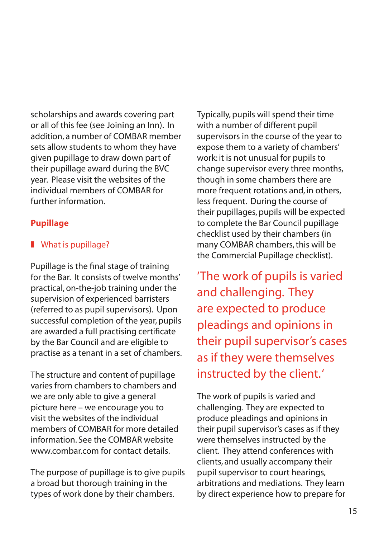scholarships and awards covering part or all of this fee (see Joining an Inn). In addition, a number of COMBAR member sets allow students to whom they have given pupillage to draw down part of their pupillage award during the BVC year. Please visit the websites of the individual members of COMBAR for further information.

### **Pupillage**

### $\blacksquare$  What is pupillage?

Pupillage is the final stage of training for the Bar. It consists of twelve months' practical, on-the-job training under the supervision of experienced barristers (referred to as pupil supervisors). Upon successful completion of the year, pupils are awarded a full practising certificate by the Bar Council and are eligible to practise as a tenant in a set of chambers.

The structure and content of pupillage varies from chambers to chambers and we are only able to give a general picture here – we encourage you to visit the websites of the individual members of COMBAR for more detailed information. See the COMBAR website www.combar.com for contact details.

The purpose of pupillage is to give pupils a broad but thorough training in the types of work done by their chambers.

Typically, pupils will spend their time with a number of different pupil supervisors in the course of the year to expose them to a variety of chambers' work: it is not unusual for pupils to change supervisor every three months, though in some chambers there are more frequent rotations and, in others, less frequent. During the course of their pupillages, pupils will be expected to complete the Bar Council pupillage checklist used by their chambers (in many COMBAR chambers, this will be the Commercial Pupillage checklist).

'The work of pupils is varied and challenging. They are expected to produce pleadings and opinions in their pupil supervisor's cases as if they were themselves instructed by the client.'

The work of pupils is varied and challenging. They are expected to produce pleadings and opinions in their pupil supervisor's cases as if they were themselves instructed by the client. They attend conferences with clients, and usually accompany their pupil supervisor to court hearings, arbitrations and mediations. They learn by direct experience how to prepare for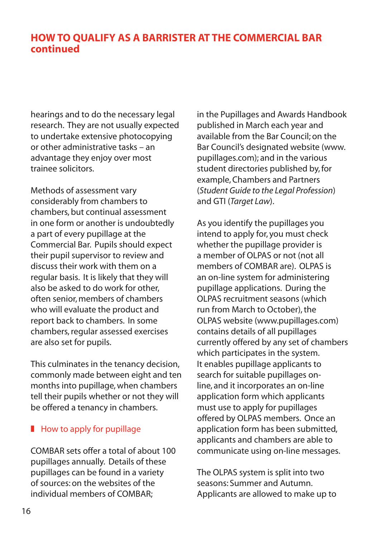### **How to qualify as a barrister at the Commercial Bar continued**

hearings and to do the necessary legal research. They are not usually expected to undertake extensive photocopying or other administrative tasks – an advantage they enjoy over most trainee solicitors.

Methods of assessment vary considerably from chambers to chambers, but continual assessment in one form or another is undoubtedly a part of every pupillage at the Commercial Bar. Pupils should expect their pupil supervisor to review and discuss their work with them on a regular basis. It is likely that they will also be asked to do work for other, often senior, members of chambers who will evaluate the product and report back to chambers. In some chambers, regular assessed exercises are also set for pupils.

This culminates in the tenancy decision, commonly made between eight and ten months into pupillage, when chambers tell their pupils whether or not they will be offered a tenancy in chambers.

### $\blacksquare$  How to apply for pupillage

COMBAR sets offer a total of about 100 pupillages annually. Details of these pupillages can be found in a variety of sources: on the websites of the individual members of COMBAR;

in the Pupillages and Awards Handbook published in March each year and available from the Bar Council; on the Bar Council's designated website (www. pupillages.com); and in the various student directories published by, for example, Chambers and Partners (*Student Guide to the Legal Profession*) and GTI (*Target Law*).

As you identify the pupillages you intend to apply for, you must check whether the pupillage provider is a member of OLPAS or not (not all members of COMBAR are). OLPAS is an on-line system for administering pupillage applications. During the OLPAS recruitment seasons (which run from March to October), the OLPAS website (www.pupillages.com) contains details of all pupillages currently offered by any set of chambers which participates in the system. It enables pupillage applicants to search for suitable pupillages online, and it incorporates an on-line application form which applicants must use to apply for pupillages offered by OLPAS members. Once an application form has been submitted, applicants and chambers are able to communicate using on-line messages.

The OLPAS system is split into two seasons: Summer and Autumn. Applicants are allowed to make up to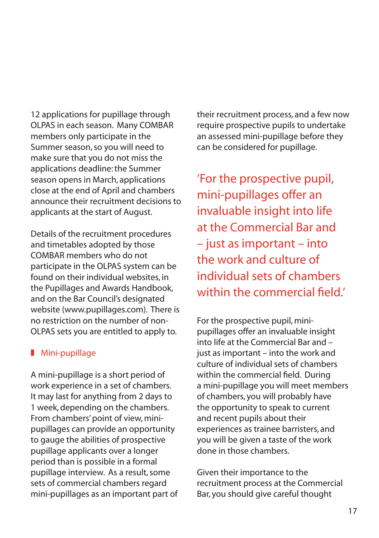12 applications for pupillage through OLPAS in each season. Many COMBAR members only participate in the Summer season, so you will need to make sure that you do not miss the applications deadline: the Summer season opens in March, applications close at the end of April and chambers announce their recruitment decisions to applicants at the start of August.

Details of the recruitment procedures and timetables adopted by those COMBAR members who do not participate in the OLPAS system can be found on their individual websites, in the Pupillages and Awards Handbook, and on the Bar Council's designated website (www.pupillages.com). There is no restriction on the number of non-OLPAS sets you are entitled to apply to.

### **Mini-pupillage**

A mini-pupillage is a short period of work experience in a set of chambers. It may last for anything from 2 days to 1 week, depending on the chambers. From chambers' point of view, minipupillages can provide an opportunity to gauge the abilities of prospective pupillage applicants over a longer period than is possible in a formal pupillage interview. As a result, some sets of commercial chambers regard mini-pupillages as an important part of their recruitment process, and a few now require prospective pupils to undertake an assessed mini-pupillage before they can be considered for pupillage.

'For the prospective pupil, mini-pupillages offer an invaluable insight into life at the Commercial Bar and – just as important – into the work and culture of individual sets of chambers within the commercial field.

For the prospective pupil, minipupillages offer an invaluable insight into life at the Commercial Bar and – just as important – into the work and culture of individual sets of chambers within the commercial field. During a mini-pupillage you will meet members of chambers, you will probably have the opportunity to speak to current and recent pupils about their experiences as trainee barristers, and you will be given a taste of the work done in those chambers.

Given their importance to the recruitment process at the Commercial Bar, you should give careful thought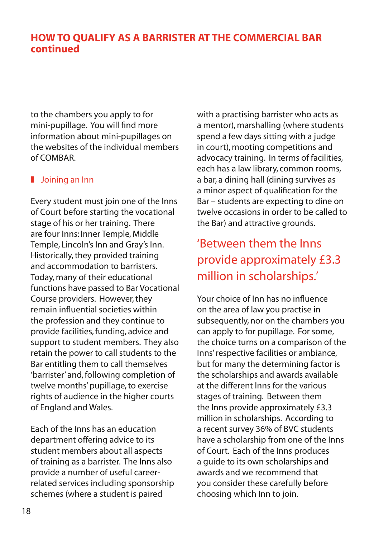### **How to qualify as a barrister at the Commercial Bar continued**

 mini-pupillage. You will find more to the chambers you apply to for information about mini-pupillages on the websites of the individual members of COMBAR.

### $\blacksquare$  Joining an Inn

Every student must join one of the Inns of Court before starting the vocational stage of his or her training. There are four Inns: Inner Temple, Middle Temple, Lincoln's Inn and Gray's Inn. Historically, they provided training and accommodation to barristers. Today, many of their educational functions have passed to Bar Vocational Course providers. However, they remain influential societies within the profession and they continue to provide facilities, funding, advice and support to student members. They also retain the power to call students to the Bar entitling them to call themselves 'barrister' and, following completion of twelve months' pupillage, to exercise rights of audience in the higher courts of England and Wales.

Each of the Inns has an education department offering advice to its student members about all aspects of training as a barrister. The Inns also provide a number of useful careerrelated services including sponsorship schemes (where a student is paired

with a practising barrister who acts as a mentor), marshalling (where students spend a few days sitting with a judge in court), mooting competitions and advocacy training. In terms of facilities, each has a law library, common rooms, a bar, a dining hall (dining survives as a minor aspect of qualification for the Bar – students are expecting to dine on twelve occasions in order to be called to the Bar) and attractive grounds.

### 'Between them the Inns provide approximately £3.3 million in scholarships.'

Your choice of Inn has no influence on the area of law you practise in subsequently, nor on the chambers you can apply to for pupillage. For some, the choice turns on a comparison of the Inns' respective facilities or ambiance, but for many the determining factor is the scholarships and awards available at the different Inns for the various stages of training. Between them the Inns provide approximately £3.3 million in scholarships. According to a recent survey 36% of BVC students have a scholarship from one of the Inns of Court. Each of the Inns produces a guide to its own scholarships and awards and we recommend that you consider these carefully before choosing which Inn to join.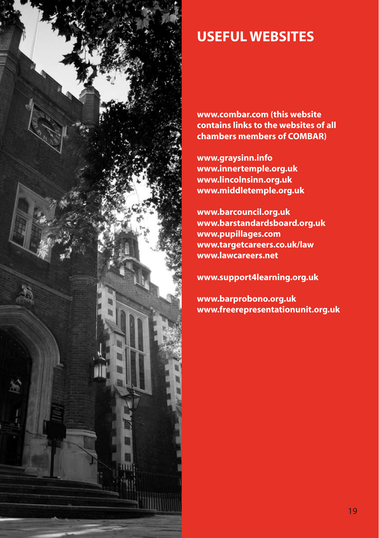

## **Useful websites**

**www.combar.com (this website contains links to the websites of all chambers members of COMBAR)**

**www.graysinn.info www.innertemple.org.uk www.lincolnsinn.org.uk www.middletemple.org.uk**

**www.barcouncil.org.uk www.barstandardsboard.org.uk www.pupillages.com www.targetcareers.co.uk/law www.lawcareers.net**

**www.support4learning.org.uk**

**www.barprobono.org.uk www.freerepresentationunit.org.uk**